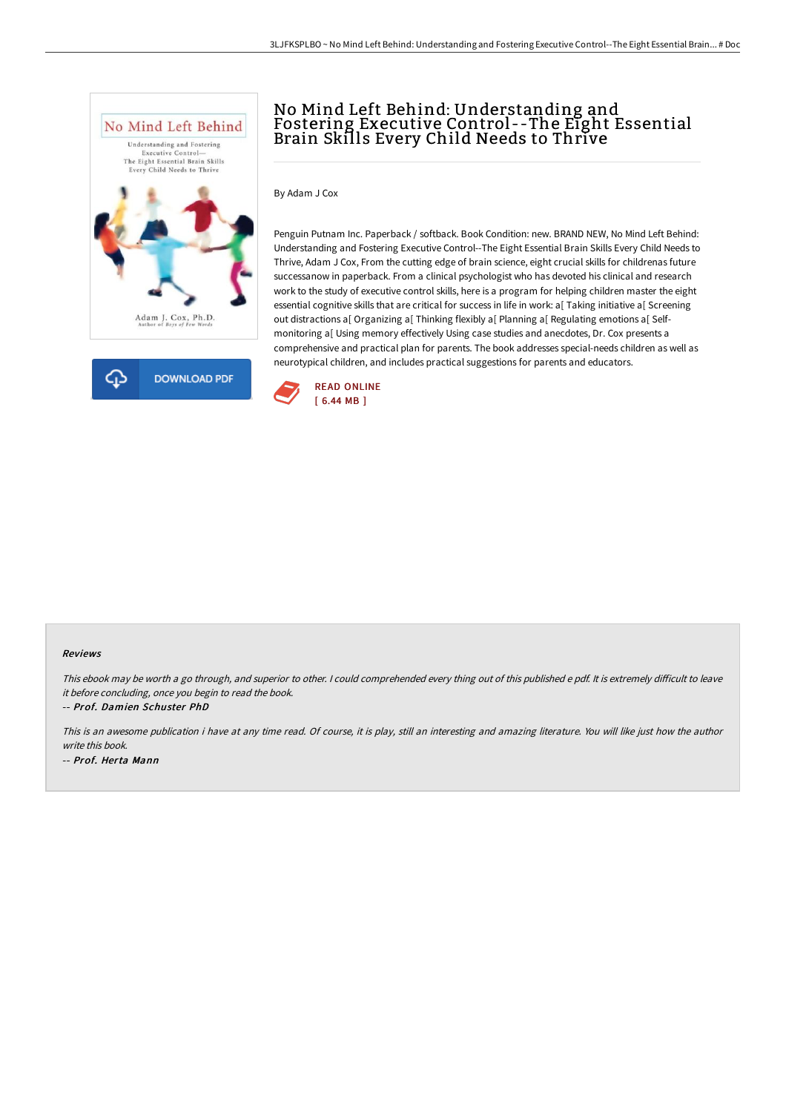



# No Mind Left Behind: Understanding and Fostering Executive Control --The Eight Essential Brain Skills Every Child Needs to Thrive

By Adam J Cox

Penguin Putnam Inc. Paperback / softback. Book Condition: new. BRAND NEW, No Mind Left Behind: Understanding and Fostering Executive Control--The Eight Essential Brain Skills Every Child Needs to Thrive, Adam J Cox, From the cutting edge of brain science, eight crucial skills for childrenas future successanow in paperback. From a clinical psychologist who has devoted his clinical and research work to the study of executive control skills, here is a program for helping children master the eight essential cognitive skills that are critical for success in life in work: a[ Taking initiative a[ Screening out distractions a[ Organizing a[ Thinking flexibly a[ Planning a[ Regulating emotions a[ Selfmonitoring a[ Using memory effectively Using case studies and anecdotes, Dr. Cox presents a comprehensive and practical plan for parents. The book addresses special-needs children as well as neurotypical children, and includes practical suggestions for parents and educators.



#### Reviews

This ebook may be worth a go through, and superior to other. I could comprehended every thing out of this published e pdf. It is extremely difficult to leave it before concluding, once you begin to read the book.

-- Prof. Damien Schuster PhD

This is an awesome publication i have at any time read. Of course, it is play, still an interesting and amazing literature. You will like just how the author write this book. -- Prof. Herta Mann